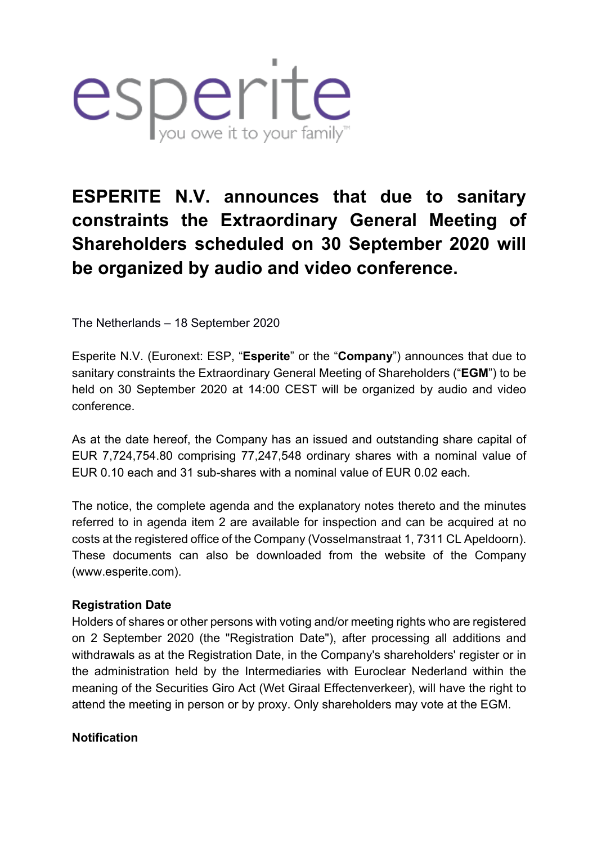

# **ESPERITE N.V. announces that due to sanitary constraints the Extraordinary General Meeting of Shareholders scheduled on 30 September 2020 will be organized by audio and video conference.**

The Netherlands – 18 September 2020

Esperite N.V. (Euronext: ESP, "**Esperite**" or the "**Company**") announces that due to sanitary constraints the Extraordinary General Meeting of Shareholders ("**EGM**") to be held on 30 September 2020 at 14:00 CEST will be organized by audio and video conference.

As at the date hereof, the Company has an issued and outstanding share capital of EUR 7,724,754.80 comprising 77,247,548 ordinary shares with a nominal value of EUR 0.10 each and 31 sub-shares with a nominal value of EUR 0.02 each.

The notice, the complete agenda and the explanatory notes thereto and the minutes referred to in agenda item 2 are available for inspection and can be acquired at no costs at the registered office of the Company (Vosselmanstraat 1, 7311 CL Apeldoorn). These documents can also be downloaded from the website of the Company (www.esperite.com).

## **Registration Date**

Holders of shares or other persons with voting and/or meeting rights who are registered on 2 September 2020 (the "Registration Date"), after processing all additions and withdrawals as at the Registration Date, in the Company's shareholders' register or in the administration held by the Intermediaries with Euroclear Nederland within the meaning of the Securities Giro Act (Wet Giraal Effectenverkeer), will have the right to attend the meeting in person or by proxy. Only shareholders may vote at the EGM.

### **Notification**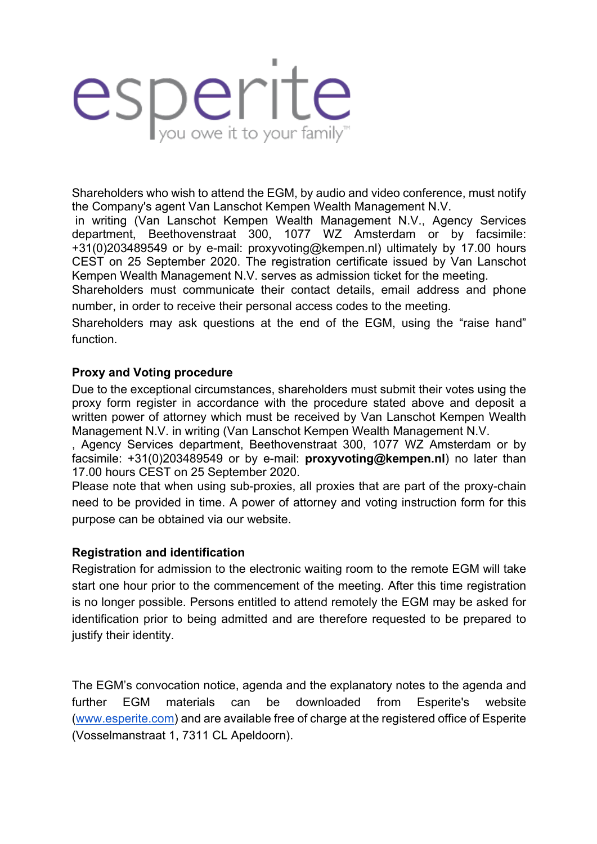# esperite

Shareholders who wish to attend the EGM, by audio and video conference, must notify the Company's agent Van Lanschot Kempen Wealth Management N.V.

in writing (Van Lanschot Kempen Wealth Management N.V., Agency Services department, Beethovenstraat 300, 1077 WZ Amsterdam or by facsimile: +31(0)203489549 or by e-mail: proxyvoting@kempen.nl) ultimately by 17.00 hours CEST on 25 September 2020. The registration certificate issued by Van Lanschot Kempen Wealth Management N.V. serves as admission ticket for the meeting.

Shareholders must communicate their contact details, email address and phone number, in order to receive their personal access codes to the meeting.

Shareholders may ask questions at the end of the EGM, using the "raise hand" function.

## **Proxy and Voting procedure**

Due to the exceptional circumstances, shareholders must submit their votes using the proxy form register in accordance with the procedure stated above and deposit a written power of attorney which must be received by Van Lanschot Kempen Wealth Management N.V. in writing (Van Lanschot Kempen Wealth Management N.V.

, Agency Services department, Beethovenstraat 300, 1077 WZ Amsterdam or by facsimile: +31(0)203489549 or by e-mail: **proxyvoting@kempen.nl**) no later than 17.00 hours CEST on 25 September 2020.

Please note that when using sub-proxies, all proxies that are part of the proxy-chain need to be provided in time. A power of attorney and voting instruction form for this purpose can be obtained via our website.

### **Registration and identification**

Registration for admission to the electronic waiting room to the remote EGM will take start one hour prior to the commencement of the meeting. After this time registration is no longer possible. Persons entitled to attend remotely the EGM may be asked for identification prior to being admitted and are therefore requested to be prepared to justify their identity.

The EGM's convocation notice, agenda and the explanatory notes to the agenda and further EGM materials can be downloaded from Esperite's website (www.esperite.com) and are available free of charge at the registered office of Esperite (Vosselmanstraat 1, 7311 CL Apeldoorn).